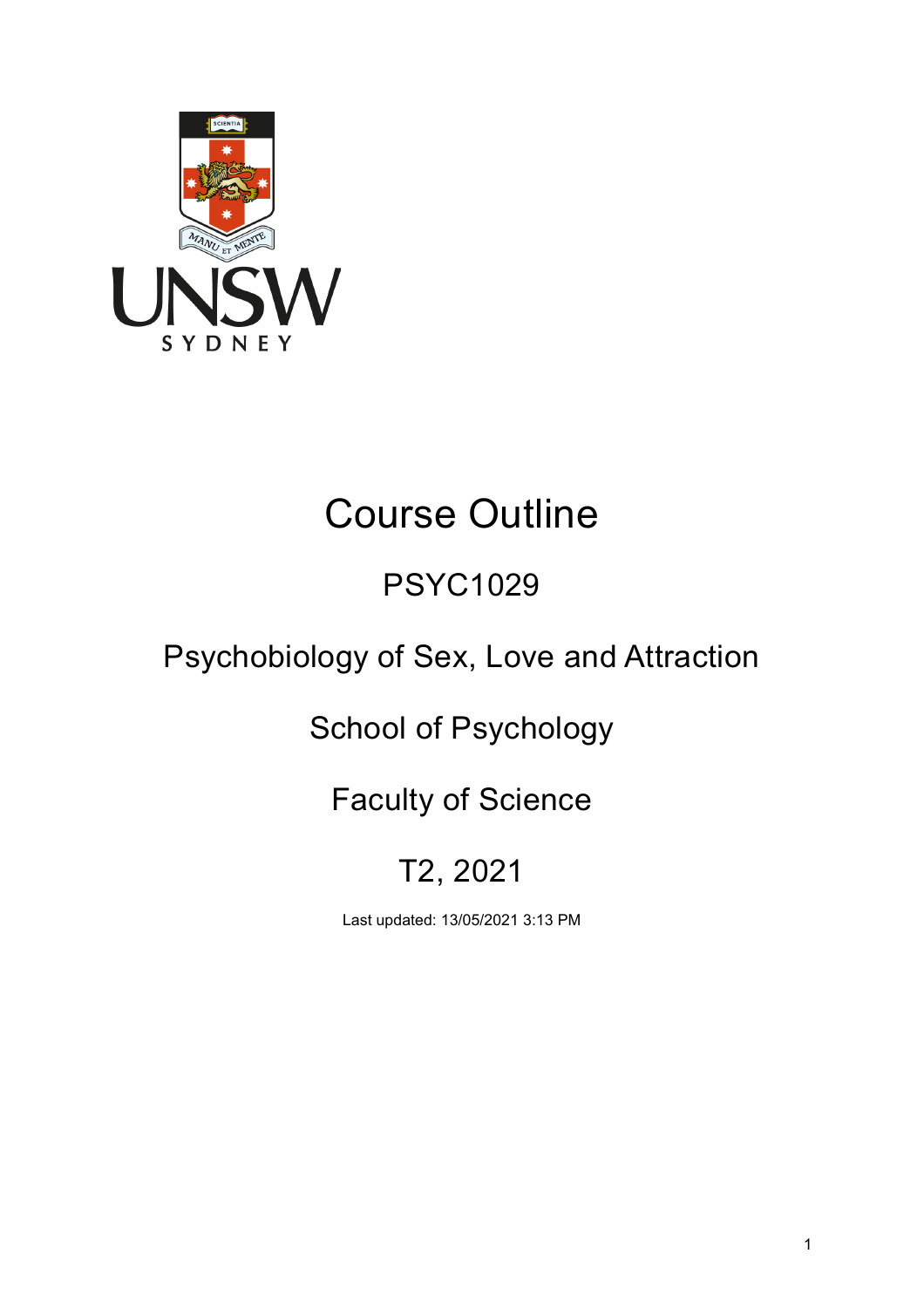

# Course Outline

## PSYC1029

## Psychobiology of Sex, Love and Attraction

## School of Psychology

## Faculty of Science

## T2, 2021

Last updated: 13/05/2021 3:13 PM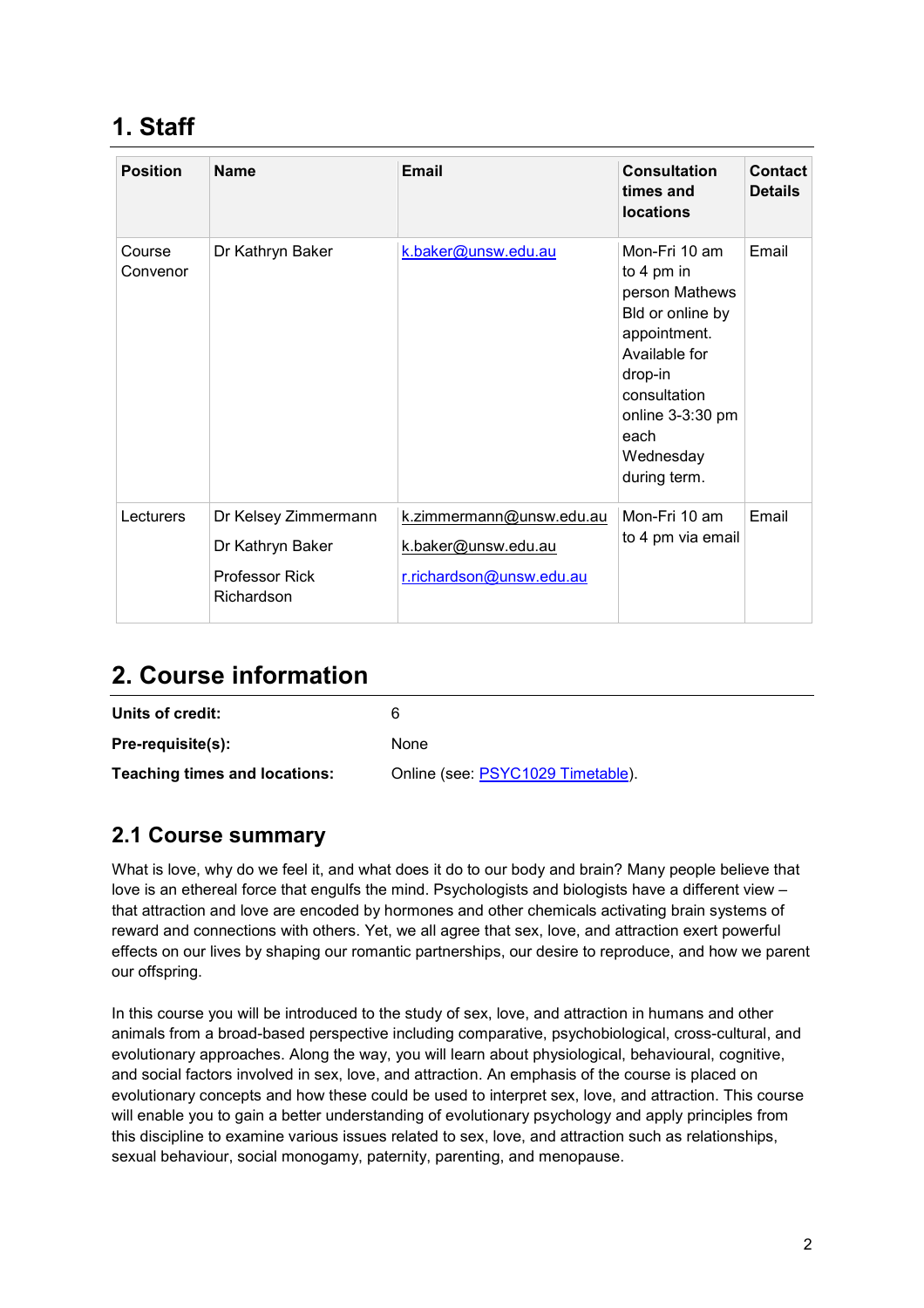## **1. Staff**

| <b>Position</b>    | <b>Name</b>                              | Email                                           | <b>Consultation</b><br>times and<br><b>locations</b>                                                                                                                                     | <b>Contact</b><br><b>Details</b> |
|--------------------|------------------------------------------|-------------------------------------------------|------------------------------------------------------------------------------------------------------------------------------------------------------------------------------------------|----------------------------------|
| Course<br>Convenor | Dr Kathryn Baker                         | k.baker@unsw.edu.au                             | Mon-Fri 10 am<br>to 4 pm in<br>person Mathews<br>Bld or online by<br>appointment.<br>Available for<br>drop-in<br>consultation<br>online $3-3:30$ pm<br>each<br>Wednesday<br>during term. | Email                            |
| Lecturers          | Dr Kelsey Zimmermann<br>Dr Kathryn Baker | k.zimmermann@unsw.edu.au<br>k.baker@unsw.edu.au | Mon-Fri 10 am<br>to 4 pm via email                                                                                                                                                       | Email                            |
|                    | <b>Professor Rick</b><br>Richardson      | r.richardson@unsw.edu.au                        |                                                                                                                                                                                          |                                  |

### **2. Course information**

| Units of credit:                     | ิค                                |
|--------------------------------------|-----------------------------------|
| Pre-requisite(s):                    | None                              |
| <b>Teaching times and locations:</b> | Online (see: PSYC1029 Timetable). |

#### **2.1 Course summary**

What is love, why do we feel it, and what does it do to our body and brain? Many people believe that love is an ethereal force that engulfs the mind. Psychologists and biologists have a different view – that attraction and love are encoded by hormones and other chemicals activating brain systems of reward and connections with others. Yet, we all agree that sex, love, and attraction exert powerful effects on our lives by shaping our romantic partnerships, our desire to reproduce, and how we parent our offspring.

In this course you will be introduced to the study of sex, love, and attraction in humans and other animals from a broad-based perspective including comparative, psychobiological, cross-cultural, and evolutionary approaches. Along the way, you will learn about physiological, behavioural, cognitive, and social factors involved in sex, love, and attraction. An emphasis of the course is placed on evolutionary concepts and how these could be used to interpret sex, love, and attraction. This course will enable you to gain a better understanding of evolutionary psychology and apply principles from this discipline to examine various issues related to sex, love, and attraction such as relationships, sexual behaviour, social monogamy, paternity, parenting, and menopause.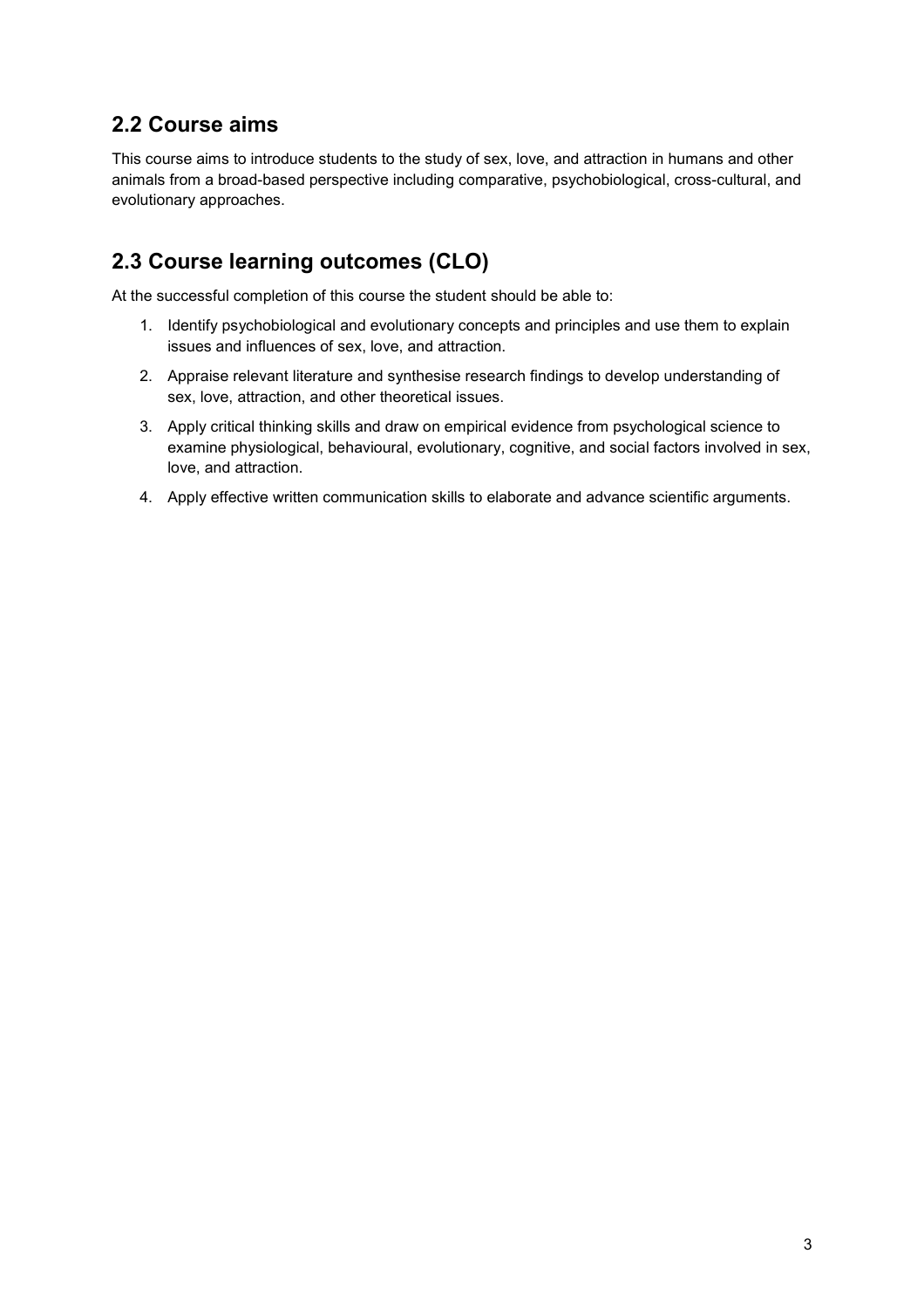#### **2.2 Course aims**

This course aims to introduce students to the study of sex, love, and attraction in humans and other animals from a broad-based perspective including comparative, psychobiological, cross-cultural, and evolutionary approaches.

#### **2.3 Course learning outcomes (CLO)**

At the successful completion of this course the student should be able to:

- 1. Identify psychobiological and evolutionary concepts and principles and use them to explain issues and influences of sex, love, and attraction.
- 2. Appraise relevant literature and synthesise research findings to develop understanding of sex, love, attraction, and other theoretical issues.
- 3. Apply critical thinking skills and draw on empirical evidence from psychological science to examine physiological, behavioural, evolutionary, cognitive, and social factors involved in sex, love, and attraction.
- 4. Apply effective written communication skills to elaborate and advance scientific arguments.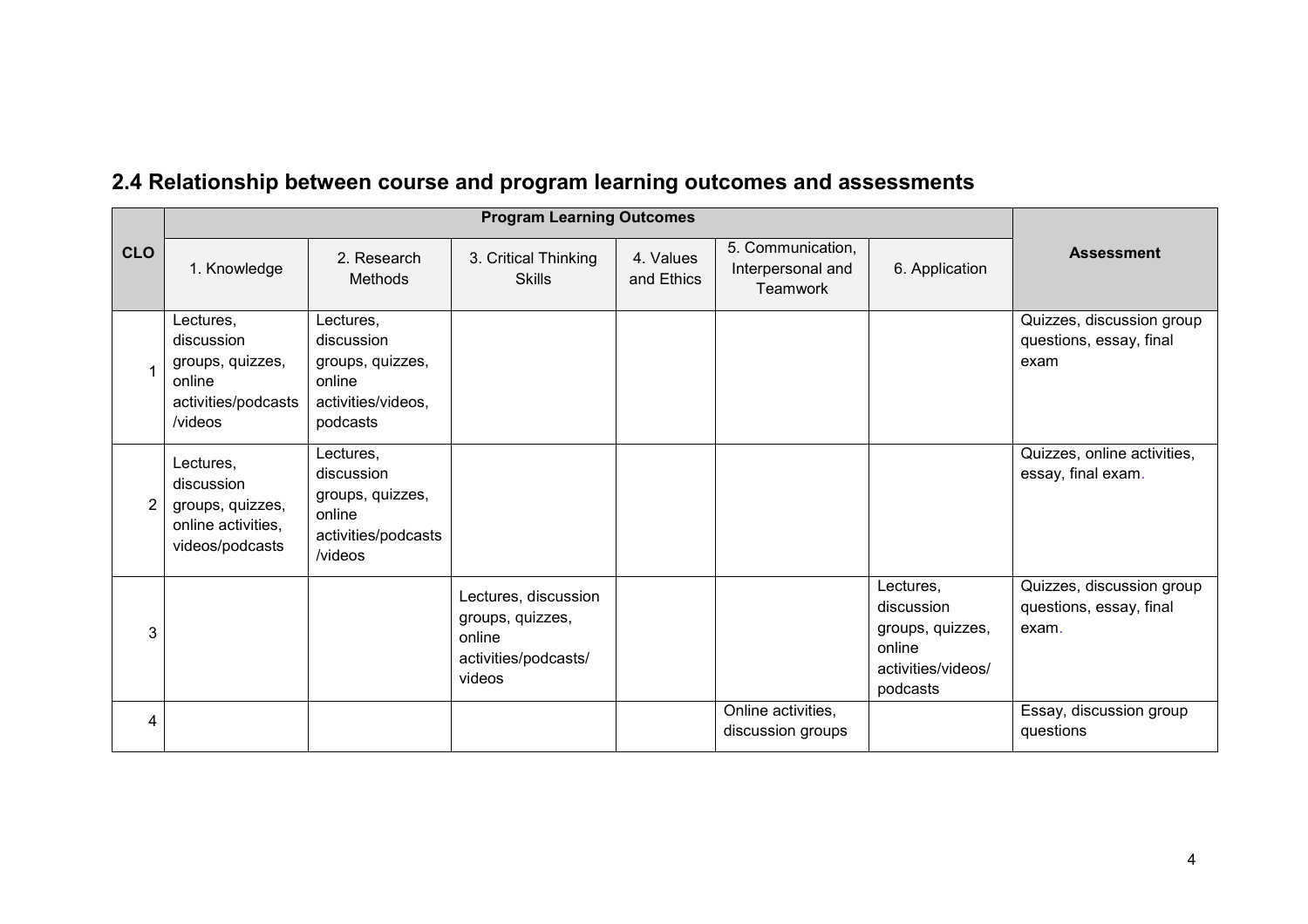|                | <b>Program Learning Outcomes</b>                                                        |                                                                                         |                                                                                      |                         |                                                           |                                                                                         |                                                               |
|----------------|-----------------------------------------------------------------------------------------|-----------------------------------------------------------------------------------------|--------------------------------------------------------------------------------------|-------------------------|-----------------------------------------------------------|-----------------------------------------------------------------------------------------|---------------------------------------------------------------|
| <b>CLO</b>     | 1. Knowledge                                                                            | 2. Research<br>Methods                                                                  | 3. Critical Thinking<br><b>Skills</b>                                                | 4. Values<br>and Ethics | 5. Communication,<br>Interpersonal and<br><b>Teamwork</b> | 6. Application                                                                          | <b>Assessment</b>                                             |
|                | Lectures,<br>discussion<br>groups, quizzes,<br>online<br>activities/podcasts<br>/videos | Lectures,<br>discussion<br>groups, quizzes,<br>online<br>activities/videos,<br>podcasts |                                                                                      |                         |                                                           |                                                                                         | Quizzes, discussion group<br>questions, essay, final<br>exam  |
| $\overline{2}$ | Lectures,<br>discussion<br>groups, quizzes,<br>online activities,<br>videos/podcasts    | Lectures,<br>discussion<br>groups, quizzes,<br>online<br>activities/podcasts<br>/videos |                                                                                      |                         |                                                           |                                                                                         | Quizzes, online activities,<br>essay, final exam.             |
| 3              |                                                                                         |                                                                                         | Lectures, discussion<br>groups, quizzes,<br>online<br>activities/podcasts/<br>videos |                         |                                                           | Lectures,<br>discussion<br>groups, quizzes,<br>online<br>activities/videos/<br>podcasts | Quizzes, discussion group<br>questions, essay, final<br>exam. |
| 4              |                                                                                         |                                                                                         |                                                                                      |                         | Online activities,<br>discussion groups                   |                                                                                         | Essay, discussion group<br>questions                          |

## **2.4 Relationship between course and program learning outcomes and assessments**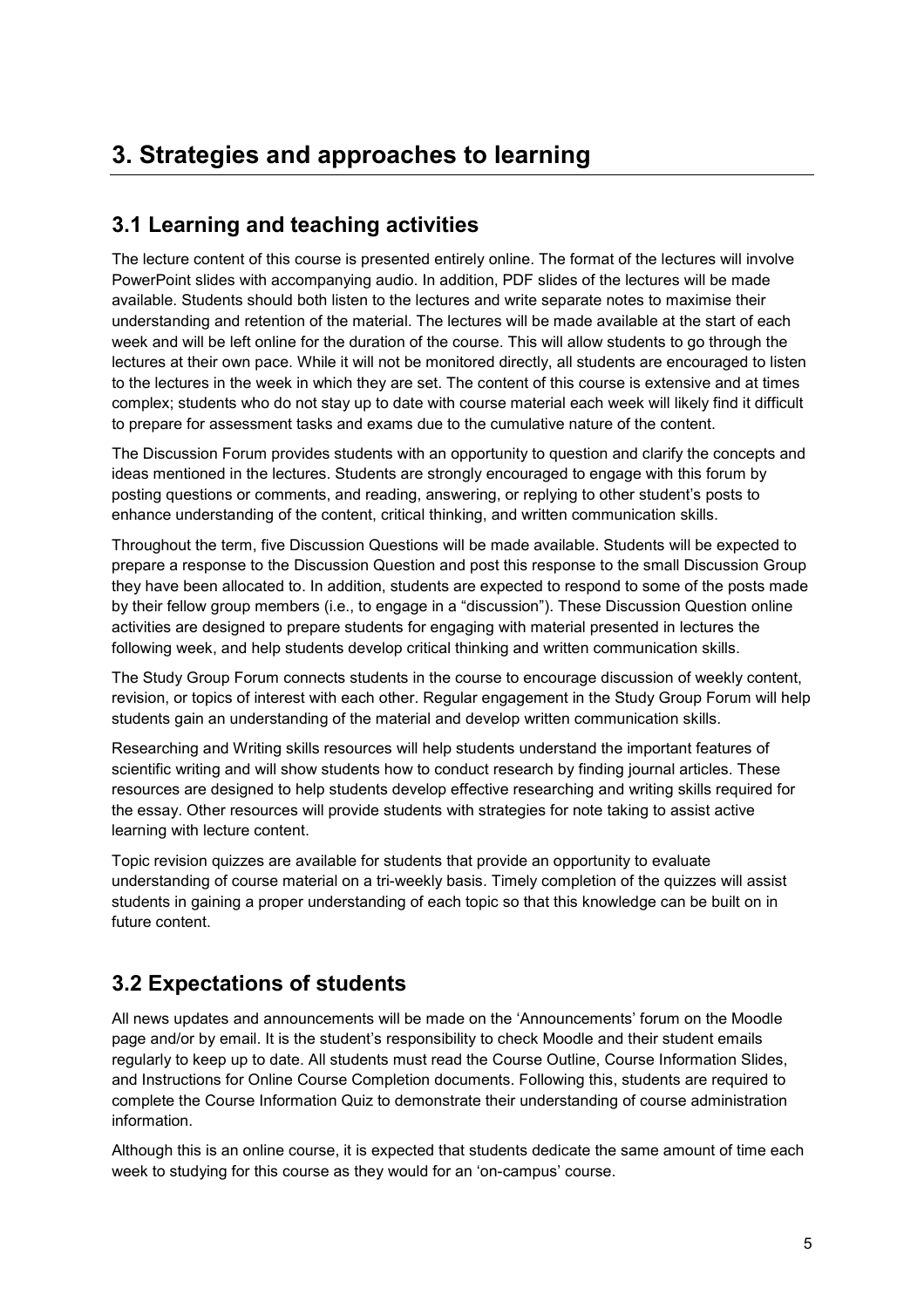## **3. Strategies and approaches to learning**

#### **3.1 Learning and teaching activities**

The lecture content of this course is presented entirely online. The format of the lectures will involve PowerPoint slides with accompanying audio. In addition, PDF slides of the lectures will be made available. Students should both listen to the lectures and write separate notes to maximise their understanding and retention of the material. The lectures will be made available at the start of each week and will be left online for the duration of the course. This will allow students to go through the lectures at their own pace. While it will not be monitored directly, all students are encouraged to listen to the lectures in the week in which they are set. The content of this course is extensive and at times complex; students who do not stay up to date with course material each week will likely find it difficult to prepare for assessment tasks and exams due to the cumulative nature of the content.

The Discussion Forum provides students with an opportunity to question and clarify the concepts and ideas mentioned in the lectures. Students are strongly encouraged to engage with this forum by posting questions or comments, and reading, answering, or replying to other student's posts to enhance understanding of the content, critical thinking, and written communication skills.

Throughout the term, five Discussion Questions will be made available. Students will be expected to prepare a response to the Discussion Question and post this response to the small Discussion Group they have been allocated to. In addition, students are expected to respond to some of the posts made by their fellow group members (i.e., to engage in a "discussion"). These Discussion Question online activities are designed to prepare students for engaging with material presented in lectures the following week, and help students develop critical thinking and written communication skills.

The Study Group Forum connects students in the course to encourage discussion of weekly content, revision, or topics of interest with each other. Regular engagement in the Study Group Forum will help students gain an understanding of the material and develop written communication skills.

Researching and Writing skills resources will help students understand the important features of scientific writing and will show students how to conduct research by finding journal articles. These resources are designed to help students develop effective researching and writing skills required for the essay. Other resources will provide students with strategies for note taking to assist active learning with lecture content.

Topic revision quizzes are available for students that provide an opportunity to evaluate understanding of course material on a tri-weekly basis. Timely completion of the quizzes will assist students in gaining a proper understanding of each topic so that this knowledge can be built on in future content.

#### **3.2 Expectations of students**

All news updates and announcements will be made on the 'Announcements' forum on the Moodle page and/or by email. It is the student's responsibility to check Moodle and their student emails regularly to keep up to date. All students must read the Course Outline, Course Information Slides, and Instructions for Online Course Completion documents. Following this, students are required to complete the Course Information Quiz to demonstrate their understanding of course administration information.

Although this is an online course, it is expected that students dedicate the same amount of time each week to studying for this course as they would for an 'on-campus' course.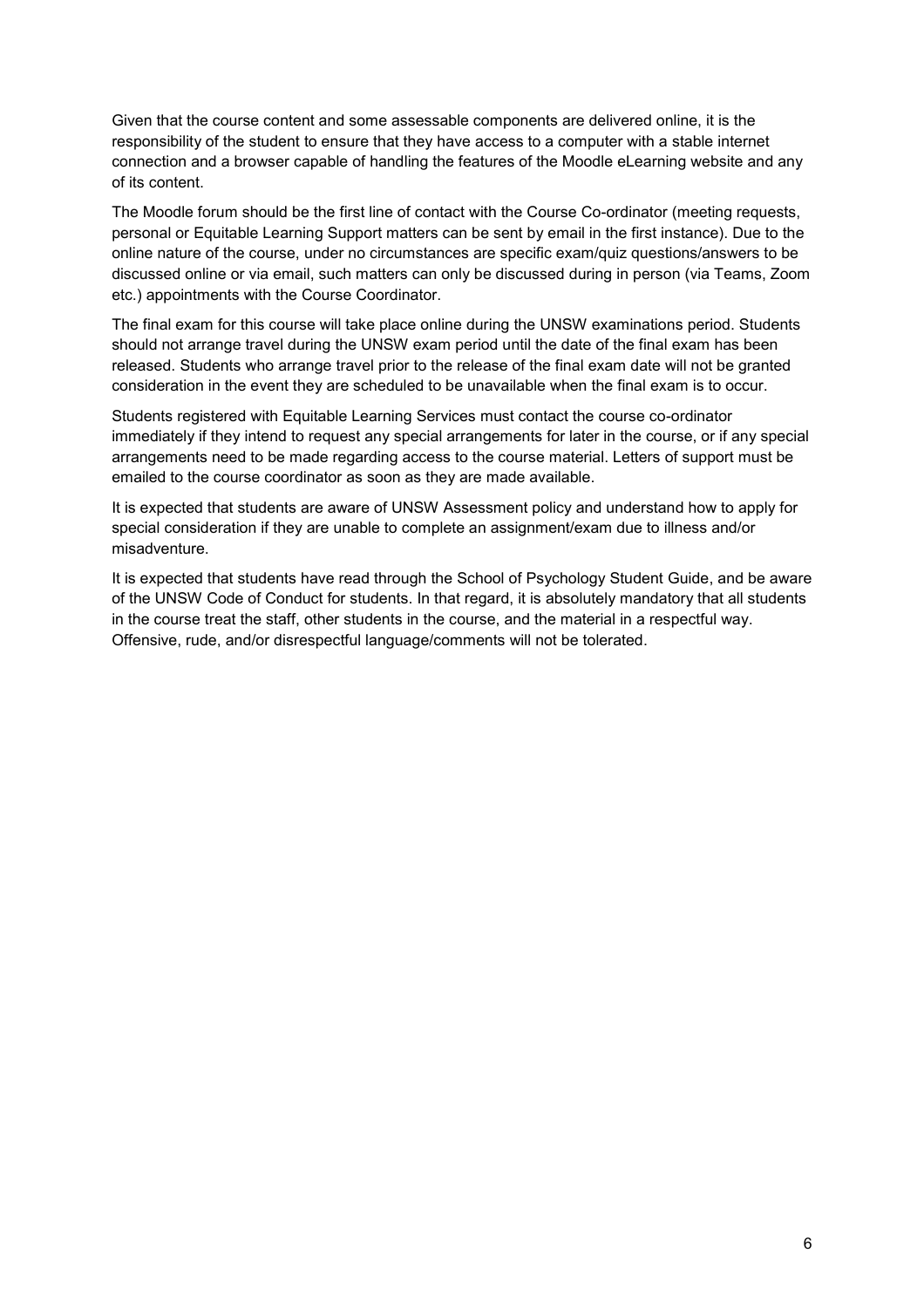Given that the course content and some assessable components are delivered online, it is the responsibility of the student to ensure that they have access to a computer with a stable internet connection and a browser capable of handling the features of the Moodle eLearning website and any of its content.

The Moodle forum should be the first line of contact with the Course Co-ordinator (meeting requests, personal or Equitable Learning Support matters can be sent by email in the first instance). Due to the online nature of the course, under no circumstances are specific exam/quiz questions/answers to be discussed online or via email, such matters can only be discussed during in person (via Teams, Zoom etc.) appointments with the Course Coordinator.

The final exam for this course will take place online during the UNSW examinations period. Students should not arrange travel during the UNSW exam period until the date of the final exam has been released. Students who arrange travel prior to the release of the final exam date will not be granted consideration in the event they are scheduled to be unavailable when the final exam is to occur.

Students registered with Equitable Learning Services must contact the course co-ordinator immediately if they intend to request any special arrangements for later in the course, or if any special arrangements need to be made regarding access to the course material. Letters of support must be emailed to the course coordinator as soon as they are made available.

It is expected that students are aware of UNSW Assessment policy and understand how to apply for special consideration if they are unable to complete an assignment/exam due to illness and/or misadventure.

It is expected that students have read through the School of Psychology Student Guide, and be aware of the UNSW Code of Conduct for students. In that regard, it is absolutely mandatory that all students in the course treat the staff, other students in the course, and the material in a respectful way. Offensive, rude, and/or disrespectful language/comments will not be tolerated.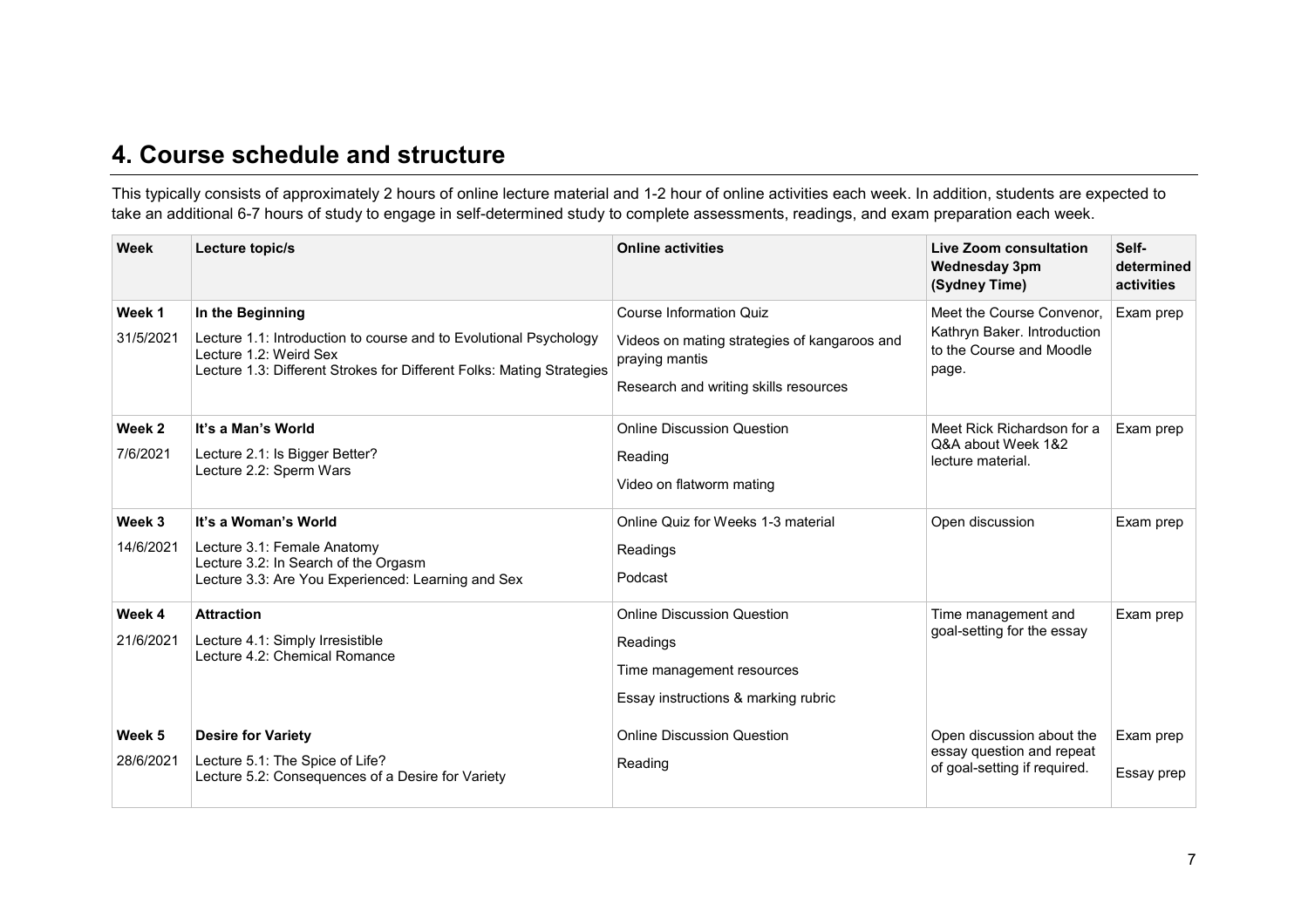#### **4. Course schedule and structure**

This typically consists of approximately 2 hours of online lecture material and 1-2 hour of online activities each week. In addition, students are expected to take an additional 6-7 hours of study to engage in self-determined study to complete assessments, readings, and exam preparation each week.

| Week                | Lecture topic/s                                                                                                                                                                          | <b>Online activities</b>                                                                                                                  | Live Zoom consultation<br><b>Wednesday 3pm</b><br>(Sydney Time)                               | Self-<br>determined<br>activities |
|---------------------|------------------------------------------------------------------------------------------------------------------------------------------------------------------------------------------|-------------------------------------------------------------------------------------------------------------------------------------------|-----------------------------------------------------------------------------------------------|-----------------------------------|
| Week 1<br>31/5/2021 | In the Beginning<br>Lecture 1.1: Introduction to course and to Evolutional Psychology<br>Lecture 1.2: Weird Sex<br>Lecture 1.3: Different Strokes for Different Folks: Mating Strategies | <b>Course Information Quiz</b><br>Videos on mating strategies of kangaroos and<br>praying mantis<br>Research and writing skills resources | Meet the Course Convenor,<br>Kathryn Baker. Introduction<br>to the Course and Moodle<br>page. | Exam prep                         |
| Week 2<br>7/6/2021  | It's a Man's World<br>Lecture 2.1: Is Bigger Better?<br>Lecture 2.2: Sperm Wars                                                                                                          | <b>Online Discussion Question</b><br>Reading<br>Video on flatworm mating                                                                  | Meet Rick Richardson for a<br>Q&A about Week 1&2<br>lecture material.                         | Exam prep                         |
| Week 3<br>14/6/2021 | It's a Woman's World<br>Lecture 3.1: Female Anatomy<br>Lecture 3.2: In Search of the Orgasm<br>Lecture 3.3: Are You Experienced: Learning and Sex                                        | Online Quiz for Weeks 1-3 material<br>Readings<br>Podcast                                                                                 | Open discussion                                                                               | Exam prep                         |
| Week 4<br>21/6/2021 | <b>Attraction</b><br>Lecture 4.1: Simply Irresistible<br>Lecture 4.2: Chemical Romance                                                                                                   | <b>Online Discussion Question</b><br>Readings<br>Time management resources<br>Essay instructions & marking rubric                         | Time management and<br>goal-setting for the essay                                             | Exam prep                         |
| Week 5<br>28/6/2021 | <b>Desire for Variety</b><br>Lecture 5.1: The Spice of Life?<br>Lecture 5.2: Consequences of a Desire for Variety                                                                        | <b>Online Discussion Question</b><br>Reading                                                                                              | Open discussion about the<br>essay question and repeat<br>of goal-setting if required.        | Exam prep<br>Essay prep           |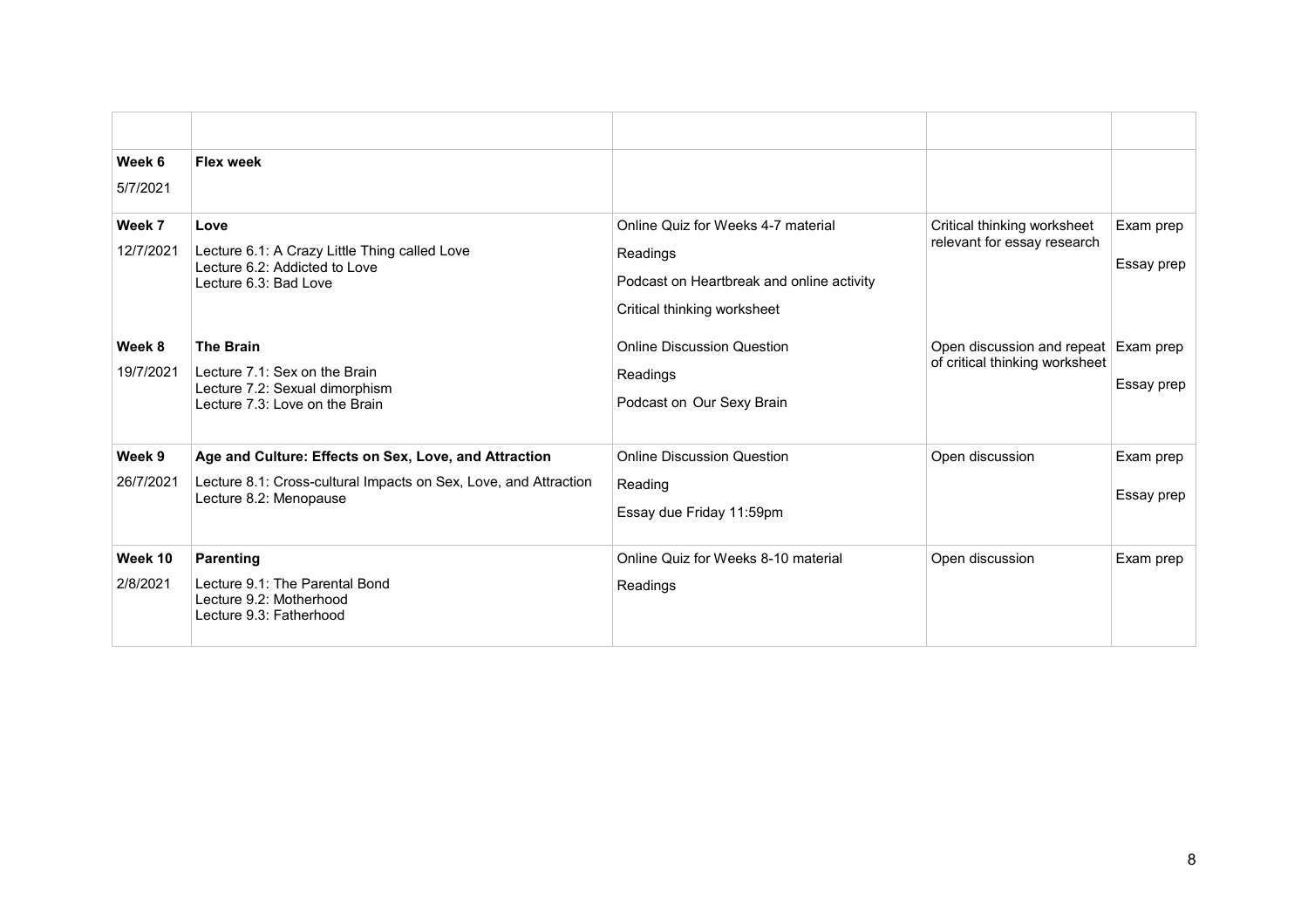| Week 6<br>5/7/2021  | <b>Flex week</b>                                                                                                                                    |                                                                                                                            |                                                                        |                         |
|---------------------|-----------------------------------------------------------------------------------------------------------------------------------------------------|----------------------------------------------------------------------------------------------------------------------------|------------------------------------------------------------------------|-------------------------|
| Week 7<br>12/7/2021 | Love<br>Lecture 6.1: A Crazy Little Thing called Love<br>Lecture 6.2: Addicted to Love<br>Lecture 6.3: Bad Love                                     | Online Quiz for Weeks 4-7 material<br>Readings<br>Podcast on Heartbreak and online activity<br>Critical thinking worksheet | Critical thinking worksheet<br>relevant for essay research             | Exam prep<br>Essay prep |
| Week 8<br>19/7/2021 | <b>The Brain</b><br>Lecture 7.1: Sex on the Brain<br>Lecture 7.2: Sexual dimorphism<br>Lecture 7.3: Love on the Brain                               | <b>Online Discussion Question</b><br>Readings<br>Podcast on Our Sexy Brain                                                 | Open discussion and repeat Exam prep<br>of critical thinking worksheet | Essay prep              |
| Week 9<br>26/7/2021 | Age and Culture: Effects on Sex, Love, and Attraction<br>Lecture 8.1: Cross-cultural Impacts on Sex, Love, and Attraction<br>Lecture 8.2: Menopause | <b>Online Discussion Question</b><br>Reading<br>Essay due Friday 11:59pm                                                   | Open discussion                                                        | Exam prep<br>Essay prep |
| Week 10<br>2/8/2021 | <b>Parenting</b><br>Lecture 9.1: The Parental Bond<br>Lecture 9.2: Motherhood<br>Lecture 9.3: Fatherhood                                            | Online Quiz for Weeks 8-10 material<br>Readings                                                                            | Open discussion                                                        | Exam prep               |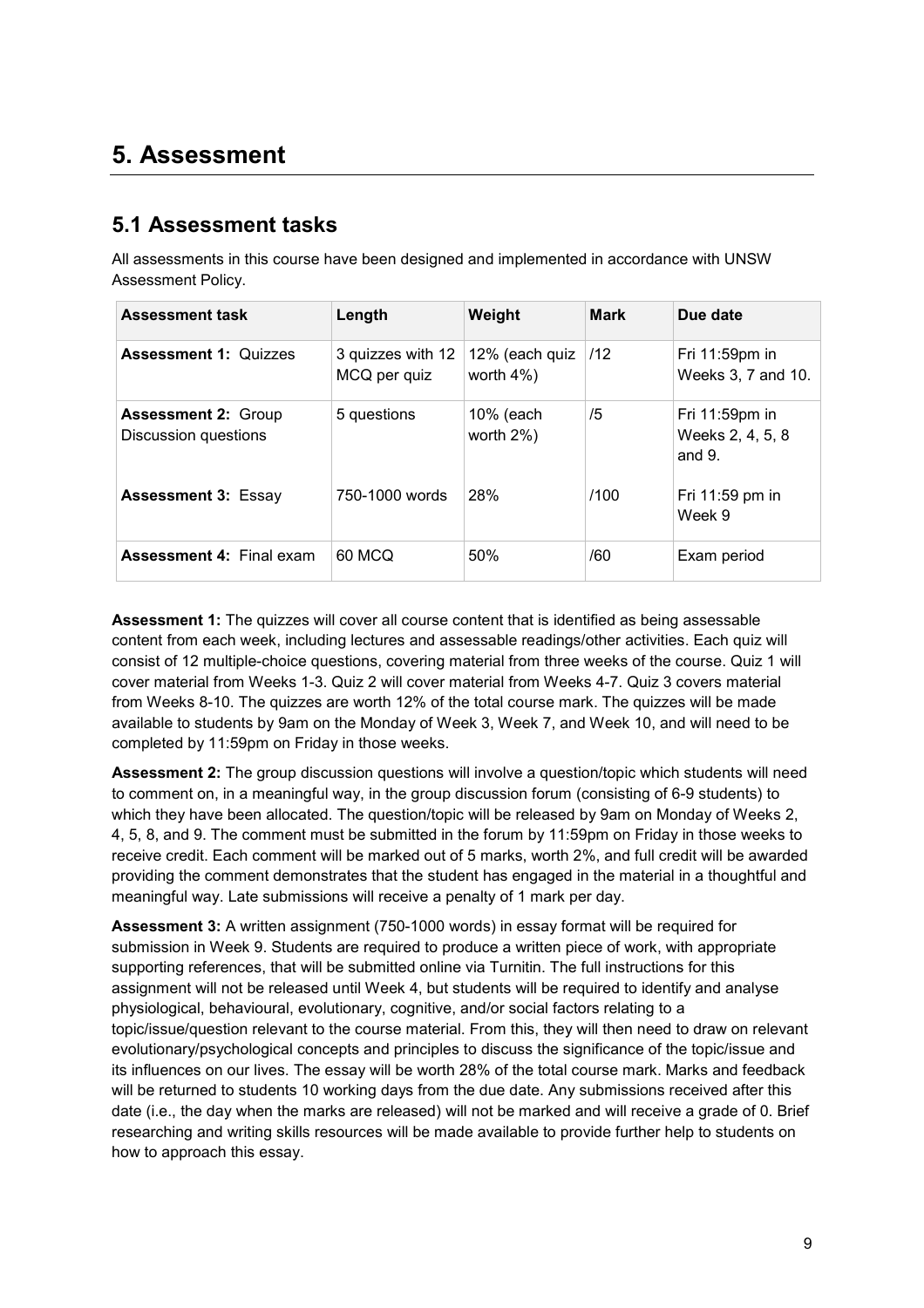### **5. Assessment**

#### **5.1 Assessment tasks**

All assessments in this course have been designed and implemented in accordance with UNSW Assessment Policy.

| <b>Assessment task</b>                             | Length                            | Weight                          | <b>Mark</b> | Due date                                          |
|----------------------------------------------------|-----------------------------------|---------------------------------|-------------|---------------------------------------------------|
| <b>Assessment 1: Quizzes</b>                       | 3 quizzes with 12<br>MCQ per quiz | 12% (each quiz<br>worth $4\%$ ) | /12         | Fri $11:59$ pm in<br>Weeks 3, 7 and 10.           |
| <b>Assessment 2: Group</b><br>Discussion questions | 5 questions                       | 10% (each<br>worth 2%)          | /5          | Fri $11:59$ pm in<br>Weeks 2, 4, 5, 8<br>and $9.$ |
| <b>Assessment 3: Essay</b>                         | 750-1000 words                    | 28%                             | /100        | Fri 11:59 pm in<br>Week 9                         |
| <b>Assessment 4: Final exam</b>                    | 60 MCQ                            | 50%                             | /60         | Exam period                                       |

**Assessment 1:** The quizzes will cover all course content that is identified as being assessable content from each week, including lectures and assessable readings/other activities. Each quiz will consist of 12 multiple-choice questions, covering material from three weeks of the course. Quiz 1 will cover material from Weeks 1-3. Quiz 2 will cover material from Weeks 4-7. Quiz 3 covers material from Weeks 8-10. The quizzes are worth 12% of the total course mark. The quizzes will be made available to students by 9am on the Monday of Week 3, Week 7, and Week 10, and will need to be completed by 11:59pm on Friday in those weeks.

**Assessment 2:** The group discussion questions will involve a question/topic which students will need to comment on, in a meaningful way, in the group discussion forum (consisting of 6-9 students) to which they have been allocated. The question/topic will be released by 9am on Monday of Weeks 2, 4, 5, 8, and 9. The comment must be submitted in the forum by 11:59pm on Friday in those weeks to receive credit. Each comment will be marked out of 5 marks, worth 2%, and full credit will be awarded providing the comment demonstrates that the student has engaged in the material in a thoughtful and meaningful way. Late submissions will receive a penalty of 1 mark per day.

**Assessment 3:** A written assignment (750-1000 words) in essay format will be required for submission in Week 9. Students are required to produce a written piece of work, with appropriate supporting references, that will be submitted online via Turnitin. The full instructions for this assignment will not be released until Week 4, but students will be required to identify and analyse physiological, behavioural, evolutionary, cognitive, and/or social factors relating to a topic/issue/question relevant to the course material. From this, they will then need to draw on relevant evolutionary/psychological concepts and principles to discuss the significance of the topic/issue and its influences on our lives. The essay will be worth 28% of the total course mark. Marks and feedback will be returned to students 10 working days from the due date. Any submissions received after this date (i.e., the day when the marks are released) will not be marked and will receive a grade of 0. Brief researching and writing skills resources will be made available to provide further help to students on how to approach this essay.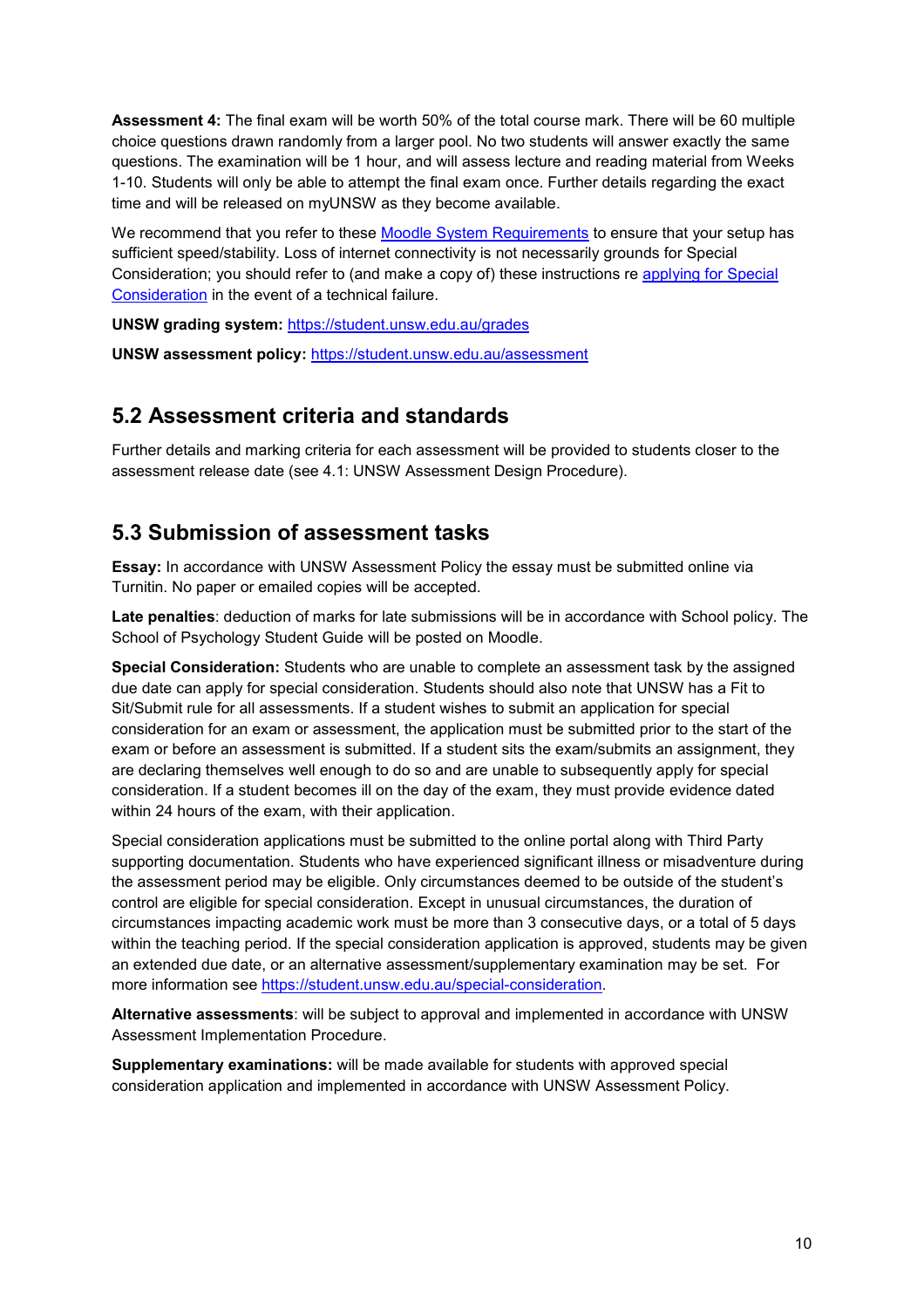**Assessment 4:** The final exam will be worth 50% of the total course mark. There will be 60 multiple choice questions drawn randomly from a larger pool. No two students will answer exactly the same questions. The examination will be 1 hour, and will assess lecture and reading material from Weeks 1-10. Students will only be able to attempt the final exam once. Further details regarding the exact time and will be released on myUNSW as they become available.

We recommend that you refer to these [Moodle System Requirements](https://student.unsw.edu.au/moodle-system-requirements) to ensure that your setup has sufficient speed/stability. Loss of internet connectivity is not necessarily grounds for Special Consideration; you should refer to (and make a copy of) these instructions re [applying for Special](https://student.unsw.edu.au/special-consideration)  [Consideration](https://student.unsw.edu.au/special-consideration) in the event of a technical failure.

**UNSW grading system:** <https://student.unsw.edu.au/grades>

**UNSW assessment policy:** <https://student.unsw.edu.au/assessment>

#### **5.2 Assessment criteria and standards**

Further details and marking criteria for each assessment will be provided to students closer to the assessment release date (see 4.1: UNSW Assessment Design Procedure).

#### **5.3 Submission of assessment tasks**

**Essay:** In accordance with UNSW Assessment Policy the essay must be submitted online via Turnitin. No paper or emailed copies will be accepted.

**Late penalties**: deduction of marks for late submissions will be in accordance with School policy. The School of Psychology Student Guide will be posted on Moodle.

**Special Consideration:** Students who are unable to complete an assessment task by the assigned due date can apply for special consideration. Students should also note that UNSW has a Fit to Sit/Submit rule for all assessments. If a student wishes to submit an application for special consideration for an exam or assessment, the application must be submitted prior to the start of the exam or before an assessment is submitted. If a student sits the exam/submits an assignment, they are declaring themselves well enough to do so and are unable to subsequently apply for special consideration. If a student becomes ill on the day of the exam, they must provide evidence dated within 24 hours of the exam, with their application.

Special consideration applications must be submitted to the online portal along with Third Party supporting documentation. Students who have experienced significant illness or misadventure during the assessment period may be eligible. Only circumstances deemed to be outside of the student's control are eligible for special consideration. Except in unusual circumstances, the duration of circumstances impacting academic work must be more than 3 consecutive days, or a total of 5 days within the teaching period. If the special consideration application is approved, students may be given an extended due date, or an alternative assessment/supplementary examination may be set. For more information see [https://student.unsw.edu.au/special-consideration.](https://student.unsw.edu.au/special-consideration)

**Alternative assessments**: will be subject to approval and implemented in accordance with UNSW Assessment Implementation Procedure.

**Supplementary examinations:** will be made available for students with approved special consideration application and implemented in accordance with UNSW Assessment Policy.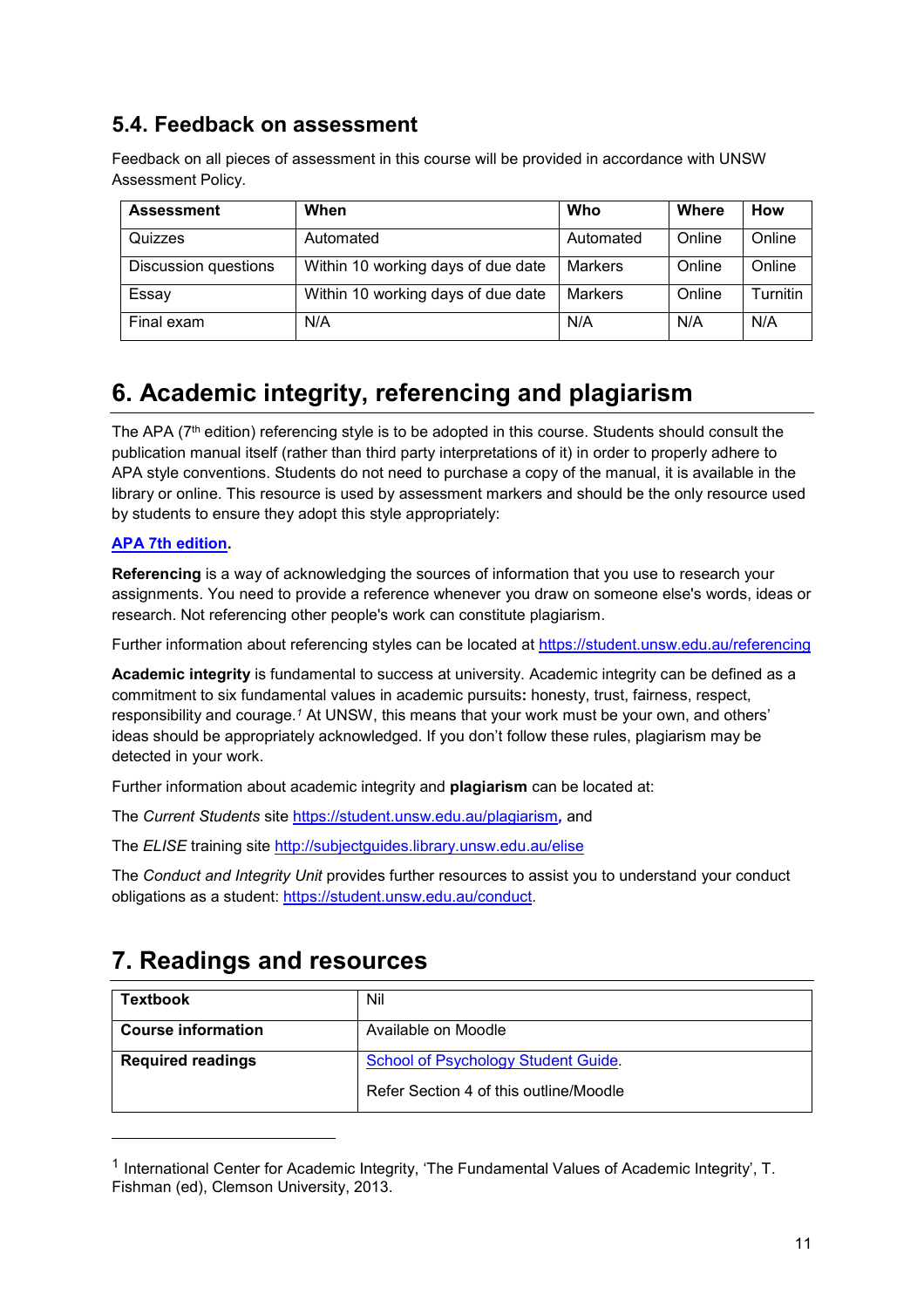#### **5.4. Feedback on assessment**

Feedback on all pieces of assessment in this course will be provided in accordance with UNSW Assessment Policy.

| <b>Assessment</b>           | When                               | Who            | Where  | How      |
|-----------------------------|------------------------------------|----------------|--------|----------|
| Quizzes                     | Automated                          | Automated      | Online | Online   |
| <b>Discussion questions</b> | Within 10 working days of due date | Markers        | Online | Online   |
| Essay                       | Within 10 working days of due date | <b>Markers</b> | Online | Turnitin |
| Final exam                  | N/A                                | N/A            | N/A    | N/A      |

### **6. Academic integrity, referencing and plagiarism**

The APA (7<sup>th</sup> edition) referencing style is to be adopted in this course. Students should consult the publication manual itself (rather than third party interpretations of it) in order to properly adhere to APA style conventions. Students do not need to purchase a copy of the manual, it is available in the library or online. This resource is used by assessment markers and should be the only resource used by students to ensure they adopt this style appropriately:

#### **[APA 7th edition.](http://www.apastyle.org/manual/index.aspx)**

j

**Referencing** is a way of acknowledging the sources of information that you use to research your assignments. You need to provide a reference whenever you draw on someone else's words, ideas or research. Not referencing other people's work can constitute plagiarism.

Further information about referencing styles can be located at <https://student.unsw.edu.au/referencing>

**Academic integrity** is fundamental to success at university. Academic integrity can be defined as a commitment to six fundamental values in academic pursuits**:** honesty, trust, fairness, respect, responsibility and courage.*<sup>1</sup>* At UNSW, this means that your work must be your own, and others' ideas should be appropriately acknowledged. If you don't follow these rules, plagiarism may be detected in your work.

Further information about academic integrity and **plagiarism** can be located at:

The *Current Students* site <https://student.unsw.edu.au/plagiarism>*,* and

The *ELISE* training site <http://subjectguides.library.unsw.edu.au/elise>

The *Conduct and Integrity Unit* provides further resources to assist you to understand your conduct obligations as a student: [https://student.unsw.edu.au/conduct.](https://student.unsw.edu.au/conduct)

### **7. Readings and resources**

| <b>Textbook</b>           | Nil                                    |
|---------------------------|----------------------------------------|
| <b>Course information</b> | Available on Moodle                    |
| <b>Required readings</b>  | School of Psychology Student Guide.    |
|                           | Refer Section 4 of this outline/Moodle |

<sup>1</sup> International Center for Academic Integrity, 'The Fundamental Values of Academic Integrity', T. Fishman (ed), Clemson University, 2013.